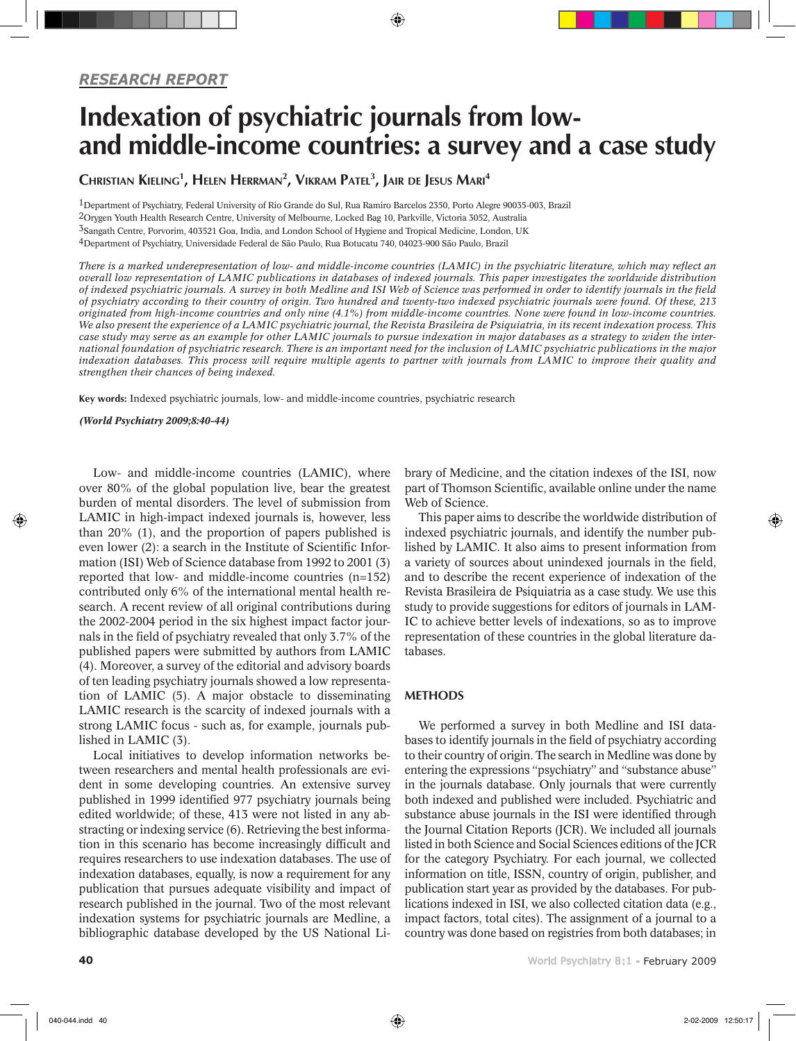# Indexation of psychiatric journals from lowand middle-income countries: a survey and a case study

⊕

 $\sf C$ hristian Kieling $^1$ , Helen Herrman $^2$ , Vikram Patel $^3$ , Jair de Jesus Mari $^4$ 

1Department of Psychiatry, Federal University of Rio Grande do Sul, Rua Ramiro Barcelos 2350, Porto Alegre 90035-003, Brazil 2Orygen Youth Health Research Centre, University of Melbourne, Locked Bag 10, Parkville, Victoria 3052, Australia 3Sangath Centre, Porvorim, 403521 Goa, India, and London School of Hygiene and Tropical Medicine, London, UK 4Department of Psychiatry, Universidade Federal de São Paulo, Rua Botucatu 740, 04023-900 São Paulo, Brazil

*There is a marked underepresentation of low- and middle-income countries (LAMIC) in the psychiatric literature, which may reflect an overall low representation of LAMIC publications in databases of indexed journals. This paper investigates the worldwide distribution of indexed psychiatric journals. A survey in both Medline and ISI Web of Science was performed in order to identify journals in the field of psychiatry according to their country of origin. Two hundred and twenty-two indexed psychiatric journals were found. Of these, 213 originated from high-income countries and only nine (4.1%) from middle-income countries. None were found in low-income countries. We also present the experience of a LAMIC psychiatric journal, the Revista Brasileira de Psiquiatria, in its recent indexation process. This case study may serve as an example for other LAMIC journals to pursue indexation in major databases as a strategy to widen the international foundation of psychiatric research. There is an important need for the inclusion of LAMIC psychiatric publications in the major indexation databases. This process will require multiple agents to partner with journals from LAMIC to improve their quality and strengthen their chances of being indexed.* 

Key words: Indexed psychiatric journals, low- and middle-income countries, psychiatric research

*(World Psychiatry 2009;8:40-44)*

Low- and middle-income countries (LAMIC), where over 80% of the global population live, bear the greatest burden of mental disorders. The level of submission from LAMIC in high-impact indexed journals is, however, less than 20% (1), and the proportion of papers published is even lower (2): a search in the Institute of Scientific Information (ISI) Web of Science database from 1992 to 2001 (3) reported that low- and middle-income countries (n=152) contributed only 6% of the international mental health research. A recent review of all original contributions during the 2002-2004 period in the six highest impact factor journals in the field of psychiatry revealed that only 3.7% of the published papers were submitted by authors from LAMIC (4). Moreover, a survey of the editorial and advisory boards of ten leading psychiatry journals showed a low representation of LAMIC (5). A major obstacle to disseminating LAMIC research is the scarcity of indexed journals with a strong LAMIC focus - such as, for example, journals published in LAMIC (3).

Local initiatives to develop information networks between researchers and mental health professionals are evident in some developing countries. An extensive survey published in 1999 identified 977 psychiatry journals being edited worldwide; of these, 413 were not listed in any abstracting or indexing service (6). Retrieving the best information in this scenario has become increasingly difficult and requires researchers to use indexation databases. The use of indexation databases, equally, is now a requirement for any publication that pursues adequate visibility and impact of research published in the journal. Two of the most relevant indexation systems for psychiatric journals are Medline, a bibliographic database developed by the US National Library of Medicine, and the citation indexes of the ISI, now part of Thomson Scientific, available online under the name Web of Science.

This paper aims to describe the worldwide distribution of indexed psychiatric journals, and identify the number published by LAMIC. It also aims to present information from a variety of sources about unindexed journals in the field, and to describe the recent experience of indexation of the Revista Brasileira de Psiquiatria as a case study. We use this study to provide suggestions for editors of journals in LAM-IC to achieve better levels of indexations, so as to improve representation of these countries in the global literature databases.

#### **METHODS**

We performed a survey in both Medline and ISI databases to identify journals in the field of psychiatry according to their country of origin. The search in Medline was done by entering the expressions "psychiatry" and "substance abuse" in the journals database. Only journals that were currently both indexed and published were included. Psychiatric and substance abuse journals in the ISI were identified through the Journal Citation Reports (JCR). We included all journals listed in both Science and Social Sciences editions of the JCR for the category Psychiatry. For each journal, we collected information on title, ISSN, country of origin, publisher, and publication start year as provided by the databases. For publications indexed in ISI, we also collected citation data (e.g., impact factors, total cites). The assignment of a journal to a country was done based on registries from both databases; in

⊕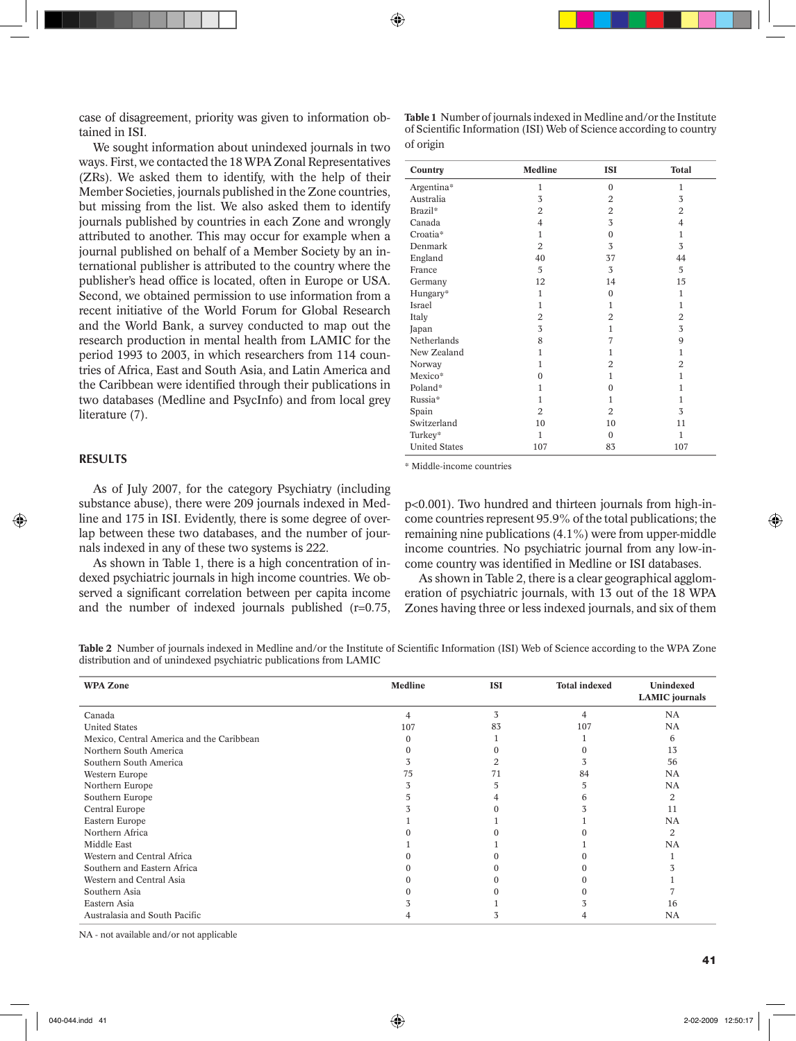⊕

case of disagreement, priority was given to information obtained in ISI.

We sought information about unindexed journals in two ways. First, we contacted the 18 WPA Zonal Representatives (ZRs). We asked them to identify, with the help of their Member Societies, journals published in the Zone countries, but missing from the list. We also asked them to identify journals published by countries in each Zone and wrongly attributed to another. This may occur for example when a journal published on behalf of a Member Society by an international publisher is attributed to the country where the publisher's head office is located, often in Europe or USA. Second, we obtained permission to use information from a recent initiative of the World Forum for Global Research and the World Bank, a survey conducted to map out the research production in mental health from LAMIC for the period 1993 to 2003, in which researchers from 114 countries of Africa, East and South Asia, and Latin America and the Caribbean were identified through their publications in two databases (Medline and PsycInfo) and from local grey literature (7).

# RESULTS

◈

As of July 2007, for the category Psychiatry (including substance abuse), there were 209 journals indexed in Medline and 175 in ISI. Evidently, there is some degree of overlap between these two databases, and the number of journals indexed in any of these two systems is 222.

As shown in Table 1, there is a high concentration of indexed psychiatric journals in high income countries. We observed a significant correlation between per capita income and the number of indexed journals published (r=0.75, **Table 1** Number of journals indexed in Medline and/or the Institute of Scientific Information (ISI) Web of Science according to country of origin

| Country              | <b>Medline</b> | <b>ISI</b>     | <b>Total</b>   |
|----------------------|----------------|----------------|----------------|
| Argentina*           | 1              | $\mathbf{0}$   | 1              |
| Australia            | 3              | 2              | 3              |
| Brazil*              | $\overline{2}$ | $\overline{2}$ | 2              |
| Canada               | $\overline{4}$ | 3              | 4              |
| Croatia*             | $\mathbf{1}$   | $\mathbf{0}$   | $\mathbf{1}$   |
| Denmark              | $\overline{2}$ | 3              | 3              |
| England              | 40             | 37             | 44             |
| France               | 5              | 3              | 5              |
| Germany              | 12             | 14             | 15             |
| Hungary*             | $\mathbf{1}$   | $\mathbf{0}$   | $\mathbf{1}$   |
| Israel               | $\mathbf{1}$   | 1              | $\mathbf{1}$   |
| Italy                | 2              | $\overline{2}$ | 2              |
| Japan                | 3              | 1              | 3              |
| Netherlands          | 8              | 7              | 9              |
| New Zealand          | $\mathbf{1}$   | 1              | $\mathbf{1}$   |
| Norway               | $\mathbf{1}$   | $\overline{2}$ | $\overline{2}$ |
| Mexico*              | $\mathbf{0}$   | 1              | $\mathbf{1}$   |
| Poland*              | $\mathbf{1}$   | $\Omega$       | $\mathbf{1}$   |
| Russia*              | $\mathbf{1}$   | 1              | $\mathbf{1}$   |
| Spain                | $\overline{2}$ | $\overline{2}$ | 3              |
| Switzerland          | 10             | 10             | 11             |
| Turkey*              | $\mathbf{1}$   | $\mathbf{0}$   | $\mathbf{1}$   |
| <b>United States</b> | 107            | 83             | 107            |

\* Middle-income countries

p<0.001). Two hundred and thirteen journals from high-income countries represent 95.9% of the total publications; the remaining nine publications (4.1%) were from upper-middle income countries. No psychiatric journal from any low-income country was identified in Medline or ISI databases.

As shown in Table 2, there is a clear geographical agglomeration of psychiatric journals, with 13 out of the 18 WPA Zones having three or less indexed journals, and six of them

**Table 2** Number of journals indexed in Medline and/or the Institute of Scientific Information (ISI) Web of Science according to the WPA Zone distribution and of unindexed psychiatric publications from LAMIC

| <b>WPA Zone</b>                           | <b>Medline</b> | <b>ISI</b> | <b>Total indexed</b> | Unindexed<br><b>LAMIC</b> journals |
|-------------------------------------------|----------------|------------|----------------------|------------------------------------|
| Canada                                    | Δ              | 3          | 4                    | NA                                 |
| <b>United States</b>                      | 107            | 83         | 107                  | NA                                 |
| Mexico, Central America and the Caribbean |                |            |                      | 6                                  |
| Northern South America                    |                |            |                      | 13                                 |
| Southern South America                    |                |            |                      | 56                                 |
| Western Europe                            | 75             |            | 84                   | NA                                 |
| Northern Europe                           |                |            |                      | <b>NA</b>                          |
| Southern Europe                           |                |            |                      | 2                                  |
| Central Europe                            |                |            |                      | 11                                 |
| Eastern Europe                            |                |            |                      | NA                                 |
| Northern Africa                           |                |            |                      | 2                                  |
| Middle East                               |                |            |                      | NA                                 |
| Western and Central Africa                |                |            |                      |                                    |
| Southern and Eastern Africa               |                |            |                      |                                    |
| Western and Central Asia                  |                |            |                      |                                    |
| Southern Asia                             |                |            |                      |                                    |
| Eastern Asia                              |                |            |                      | 16                                 |
| Australasia and South Pacific             |                |            |                      | NA                                 |

NA - not available and/or not applicable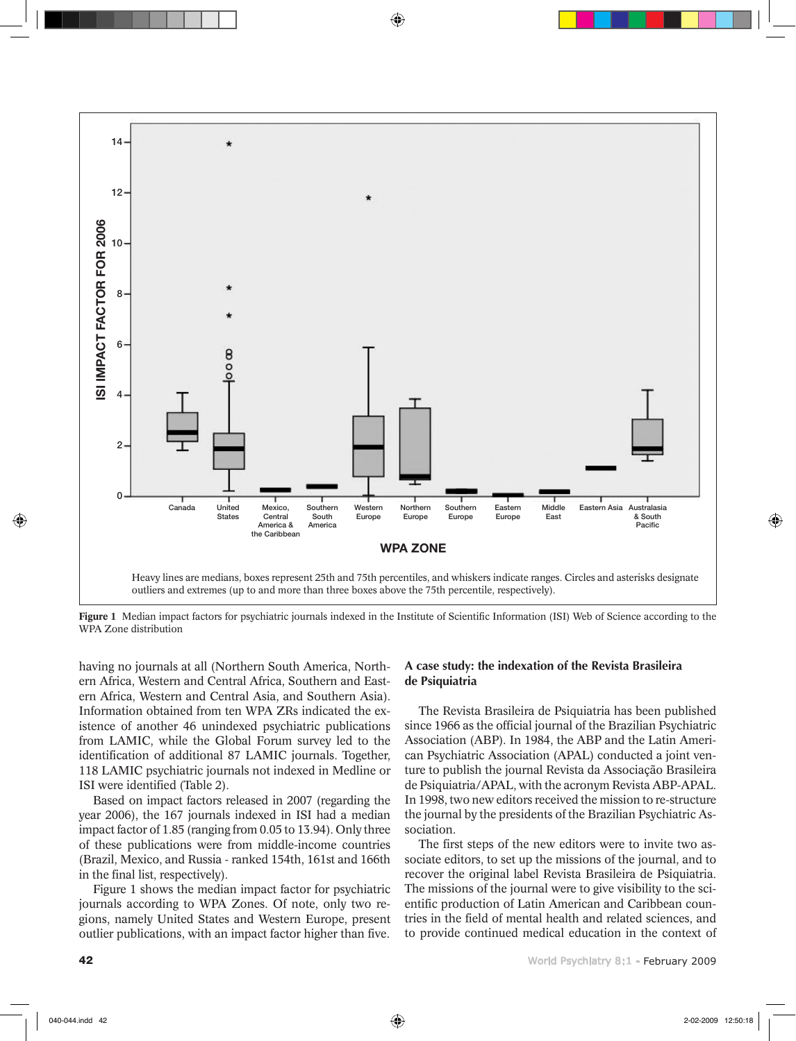

◈

Figure 1 Median impact factors for psychiatric journals indexed in the Institute of Scientific Information (ISI) Web of Science according to the WPA Zone distribution

having no journals at all (Northern South America, Northern Africa, Western and Central Africa, Southern and Eastern Africa, Western and Central Asia, and Southern Asia). Information obtained from ten WPA ZRs indicated the existence of another 46 unindexed psychiatric publications from LAMIC, while the Global Forum survey led to the identification of additional 87 LAMIC journals. Together, 118 LAMIC psychiatric journals not indexed in Medline or ISI were identified (Table 2).

Based on impact factors released in 2007 (regarding the year 2006), the 167 journals indexed in ISI had a median impact factor of 1.85 (ranging from 0.05 to 13.94). Only three of these publications were from middle-income countries (Brazil, Mexico, and Russia - ranked 154th, 161st and 166th in the final list, respectively).

Figure 1 shows the median impact factor for psychiatric journals according to WPA Zones. Of note, only two regions, namely United States and Western Europe, present outlier publications, with an impact factor higher than five.

# A case study: the indexation of the Revista Brasileira de Psiquiatria

The Revista Brasileira de Psiquiatria has been published since 1966 as the official journal of the Brazilian Psychiatric Association (ABP). In 1984, the ABP and the Latin American Psychiatric Association (APAL) conducted a joint venture to publish the journal Revista da Associação Brasileira de Psiquiatria/APAL, with the acronym Revista ABP-APAL. In 1998, two new editors received the mission to re-structure the journal by the presidents of the Brazilian Psychiatric Association.

The first steps of the new editors were to invite two associate editors, to set up the missions of the journal, and to recover the original label Revista Brasileira de Psiquiatria. The missions of the journal were to give visibility to the scientific production of Latin American and Caribbean countries in the field of mental health and related sciences, and to provide continued medical education in the context of

⊕

040-044.indd 42 2-02-2009 12:50:18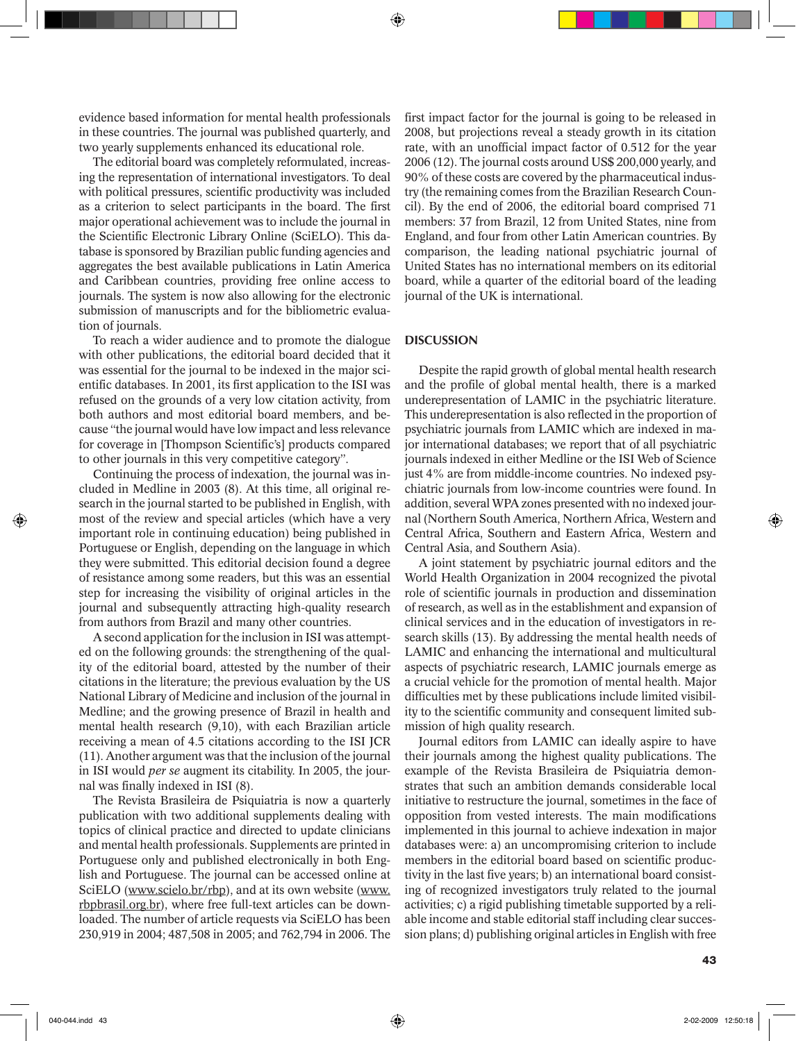⊕

evidence based information for mental health professionals in these countries. The journal was published quarterly, and two yearly supplements enhanced its educational role.

The editorial board was completely reformulated, increasing the representation of international investigators. To deal with political pressures, scientific productivity was included as a criterion to select participants in the board. The first major operational achievement was to include the journal in the Scientific Electronic Library Online (SciELO). This database is sponsored by Brazilian public funding agencies and aggregates the best available publications in Latin America and Caribbean countries, providing free online access to journals. The system is now also allowing for the electronic submission of manuscripts and for the bibliometric evaluation of journals.

To reach a wider audience and to promote the dialogue with other publications, the editorial board decided that it was essential for the journal to be indexed in the major scientific databases. In 2001, its first application to the ISI was refused on the grounds of a very low citation activity, from both authors and most editorial board members, and because "the journal would have low impact and less relevance for coverage in [Thompson Scientific's] products compared to other journals in this very competitive category".

Continuing the process of indexation, the journal was included in Medline in 2003 (8). At this time, all original research in the journal started to be published in English, with most of the review and special articles (which have a very important role in continuing education) being published in Portuguese or English, depending on the language in which they were submitted. This editorial decision found a degree of resistance among some readers, but this was an essential step for increasing the visibility of original articles in the journal and subsequently attracting high-quality research from authors from Brazil and many other countries.

A second application for the inclusion in ISI was attempted on the following grounds: the strengthening of the quality of the editorial board, attested by the number of their citations in the literature; the previous evaluation by the US National Library of Medicine and inclusion of the journal in Medline; and the growing presence of Brazil in health and mental health research (9,10), with each Brazilian article receiving a mean of 4.5 citations according to the ISI JCR (11). Another argument was that the inclusion of the journal in ISI would *per se* augment its citability. In 2005, the journal was finally indexed in ISI (8).

The Revista Brasileira de Psiquiatria is now a quarterly publication with two additional supplements dealing with topics of clinical practice and directed to update clinicians and mental health professionals. Supplements are printed in Portuguese only and published electronically in both English and Portuguese. The journal can be accessed online at SciELO (www.scielo.br/rbp), and at its own website (www. rbpbrasil.org.br), where free full-text articles can be downloaded. The number of article requests via SciELO has been 230,919 in 2004; 487,508 in 2005; and 762,794 in 2006. The

first impact factor for the journal is going to be released in 2008, but projections reveal a steady growth in its citation rate, with an unofficial impact factor of 0.512 for the year 2006 (12). The journal costs around US\$ 200,000 yearly, and 90% of these costs are covered by the pharmaceutical industry (the remaining comes from the Brazilian Research Council). By the end of 2006, the editorial board comprised 71 members: 37 from Brazil, 12 from United States, nine from England, and four from other Latin American countries. By comparison, the leading national psychiatric journal of United States has no international members on its editorial board, while a quarter of the editorial board of the leading journal of the UK is international.

### **DISCUSSION**

Despite the rapid growth of global mental health research and the profile of global mental health, there is a marked underepresentation of LAMIC in the psychiatric literature. This underepresentation is also reflected in the proportion of psychiatric journals from LAMIC which are indexed in major international databases; we report that of all psychiatric journals indexed in either Medline or the ISI Web of Science just 4% are from middle-income countries. No indexed psychiatric journals from low-income countries were found. In addition, several WPA zones presented with no indexed journal (Northern South America, Northern Africa, Western and Central Africa, Southern and Eastern Africa, Western and Central Asia, and Southern Asia).

A joint statement by psychiatric journal editors and the World Health Organization in 2004 recognized the pivotal role of scientific journals in production and dissemination of research, as well as in the establishment and expansion of clinical services and in the education of investigators in research skills (13). By addressing the mental health needs of LAMIC and enhancing the international and multicultural aspects of psychiatric research, LAMIC journals emerge as a crucial vehicle for the promotion of mental health. Major difficulties met by these publications include limited visibility to the scientific community and consequent limited submission of high quality research.

Journal editors from LAMIC can ideally aspire to have their journals among the highest quality publications. The example of the Revista Brasileira de Psiquiatria demonstrates that such an ambition demands considerable local initiative to restructure the journal, sometimes in the face of opposition from vested interests. The main modifications implemented in this journal to achieve indexation in major databases were: a) an uncompromising criterion to include members in the editorial board based on scientific productivity in the last five years; b) an international board consisting of recognized investigators truly related to the journal activities; c) a rigid publishing timetable supported by a reliable income and stable editorial staff including clear succession plans; d) publishing original articles in English with free

 $^{43}$ 

⊕